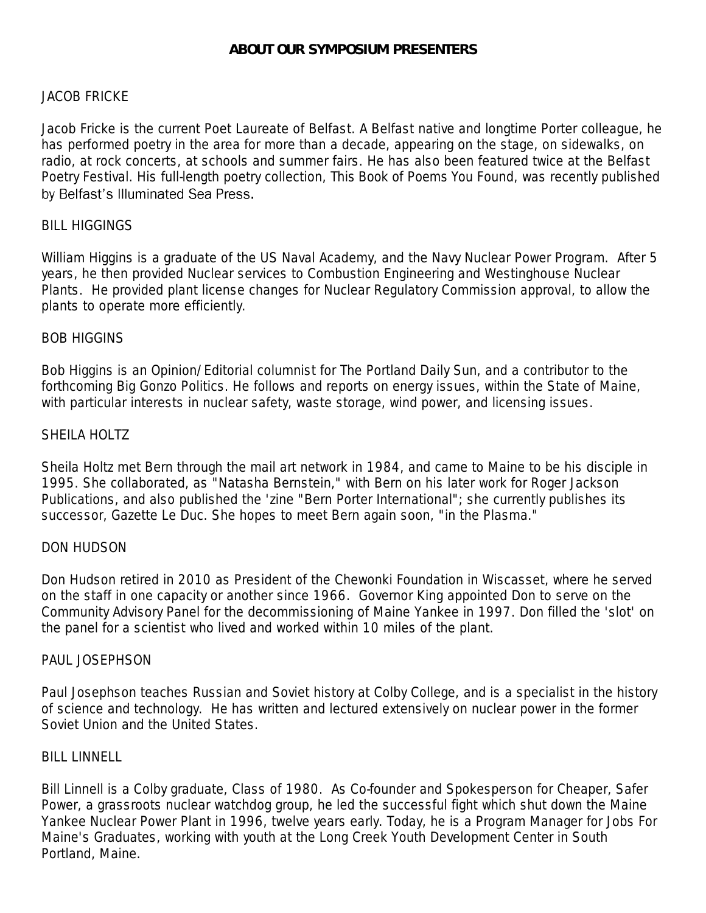# JACOB FRICKE

Jacob Fricke is the current Poet Laureate of Belfast. A Belfast native and longtime Porter colleague, he has performed poetry in the area for more than a decade, appearing on the stage, on sidewalks, on radio, at rock concerts, at schools and summer fairs. He has also been featured twice at the Belfast Poetry Festival. His full-length poetry collection, *This Book of Poems You Found*, was recently published by Belfast's Illuminated Sea Press.

## BILL HIGGINGS

William Higgins is a graduate of the US Naval Academy, and the Navy Nuclear Power Program. After 5 years, he then provided Nuclear services to Combustion Engineering and Westinghouse Nuclear Plants. He provided plant license changes for Nuclear Regulatory Commission approval, to allow the plants to operate more efficiently.

## BOB HIGGINS

Bob Higgins is an Opinion/Editorial columnist for The Portland Daily Sun, and a contributor to the forthcoming Big Gonzo Politics. He follows and reports on energy issues, within the State of Maine, with particular interests in nuclear safety, waste storage, wind power, and licensing issues.

## SHEILA HOLTZ

Sheila Holtz met Bern through the mail art network in 1984, and came to Maine to be his disciple in 1995. She collaborated, as "Natasha Bernstein," with Bern on his later work for Roger Jackson Publications, and also published the 'zine "Bern Porter International"; she currently publishes its successor, Gazette Le Duc. She hopes to meet Bern again soon, "in the Plasma."

# DON HUDSON

Don Hudson retired in 2010 as President of the Chewonki Foundation in Wiscasset, where he served on the staff in one capacity or another since 1966. Governor King appointed Don to serve on the Community Advisory Panel for the decommissioning of Maine Yankee in 1997. Don filled the 'slot' on the panel for a scientist who lived and worked within 10 miles of the plant.

#### PAUL JOSEPHSON

Paul Josephson teaches Russian and Soviet history at Colby College, and is a specialist in the history of science and technology. He has written and lectured extensively on nuclear power in the former Soviet Union and the United States.

#### BILL LINNELL

Bill Linnell is a Colby graduate, Class of 1980. As Co-founder and Spokesperson for Cheaper, Safer Power, a grassroots nuclear watchdog group, he led the successful fight which shut down the Maine Yankee Nuclear Power Plant in 1996, twelve years early. Today, he is a Program Manager for Jobs For Maine's Graduates, working with youth at the Long Creek Youth Development Center in South Portland, Maine.